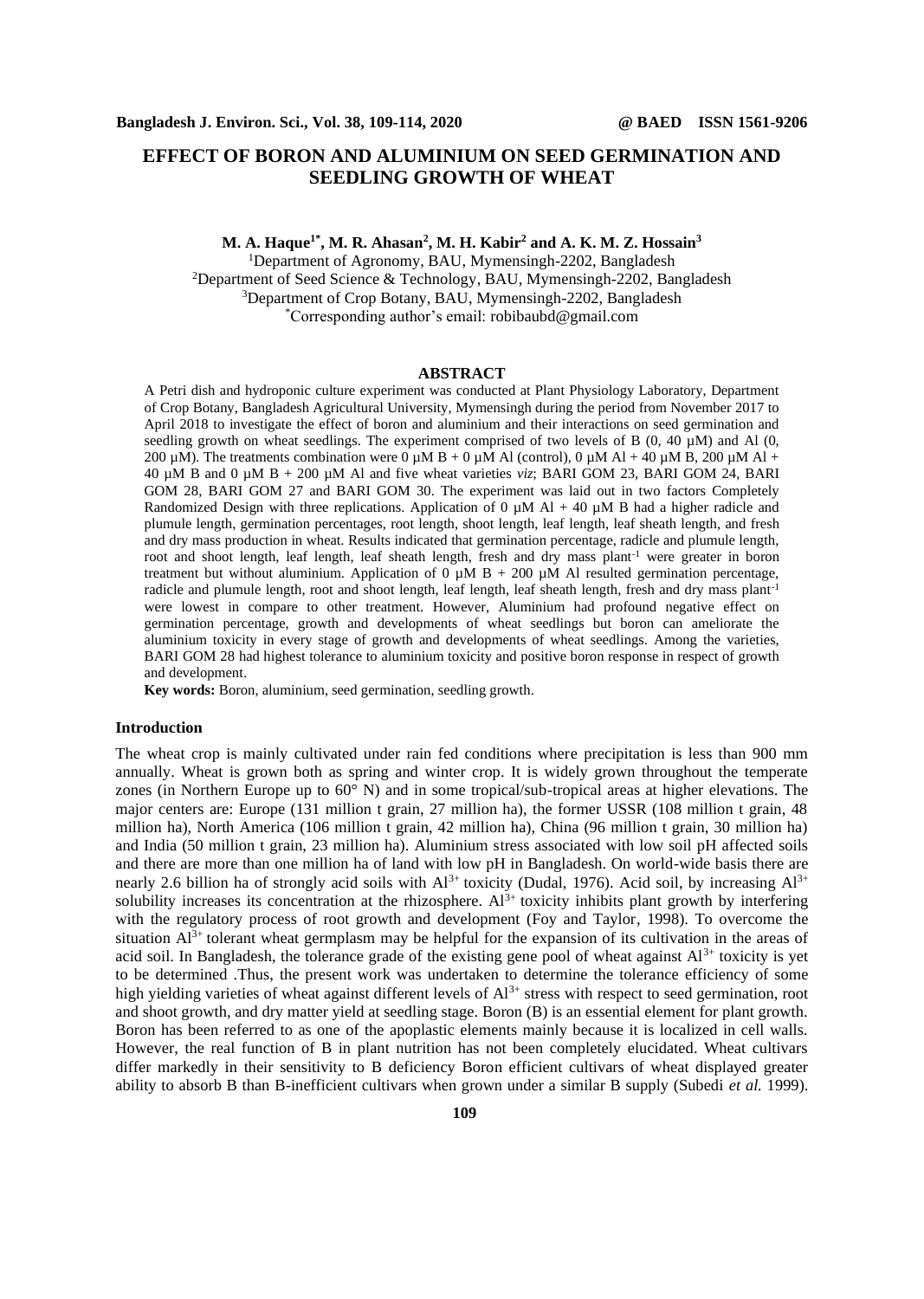# **EFFECT OF BORON AND ALUMINIUM ON SEED GERMINATION AND SEEDLING GROWTH OF WHEAT**

**M. A. Haque 1\* , M. R. Ahasan<sup>2</sup> , M. H. Kabir<sup>2</sup> and A. K. M. Z. Hossain<sup>3</sup>** <sup>1</sup>Department of Agronomy, BAU, Mymensingh-2202, Bangladesh <sup>2</sup>Department of Seed Science & Technology, BAU, Mymensingh-2202, Bangladesh <sup>3</sup>Department of Crop Botany, BAU, Mymensingh-2202, Bangladesh \*Corresponding author's email: robibaubd@gmail.com

#### **ABSTRACT**

A Petri dish and hydroponic culture experiment was conducted at Plant Physiology Laboratory, Department of Crop Botany, Bangladesh Agricultural University, Mymensingh during the period from November 2017 to April 2018 to investigate the effect of boron and aluminium and their interactions on seed germination and seedling growth on wheat seedlings. The experiment comprised of two levels of B  $(0, 40 \mu M)$  and Al  $(0, 40 \mu M)$ 200  $\mu$ M). The treatments combination were 0  $\mu$ M B + 0  $\mu$ M Al (control), 0  $\mu$ M Al + 40  $\mu$ M B, 200  $\mu$ M Al + 40 µM B and 0 µM B + 200 µM Al and five wheat varieties *viz*; BARI GOM 23, BARI GOM 24, BARI GOM 28, BARI GOM 27 and BARI GOM 30. The experiment was laid out in two factors Completely Randomized Design with three replications. Application of 0  $\mu$ M Al + 40  $\mu$ M B had a higher radicle and plumule length, germination percentages, root length, shoot length, leaf length, leaf sheath length, and fresh and dry mass production in wheat. Results indicated that germination percentage, radicle and plumule length, root and shoot length, leaf length, leaf sheath length, fresh and dry mass plant<sup>-1</sup> were greater in boron treatment but without aluminium. Application of 0  $\mu$ M B + 200  $\mu$ M Al resulted germination percentage, radicle and plumule length, root and shoot length, leaf length, leaf sheath length, fresh and dry mass plant<sup>-1</sup> were lowest in compare to other treatment. However, Aluminium had profound negative effect on germination percentage, growth and developments of wheat seedlings but boron can ameliorate the aluminium toxicity in every stage of growth and developments of wheat seedlings. Among the varieties, BARI GOM 28 had highest tolerance to aluminium toxicity and positive boron response in respect of growth and development.

**Key words:** Boron, aluminium, seed germination, seedling growth.

#### **Introduction**

The wheat crop is mainly cultivated under rain fed conditions where precipitation is less than 900 mm annually. Wheat is grown both as spring and winter crop. It is widely grown throughout the temperate zones (in Northern Europe up to 60° N) and in some tropical/sub-tropical areas at higher elevations. The major centers are: Europe (131 million t grain, 27 million ha), the former USSR (108 million t grain, 48 million ha), North America (106 million t grain, 42 million ha), China (96 million t grain, 30 million ha) and India (50 million t grain, 23 million ha). Aluminium stress associated with low soil pH affected soils and there are more than one million ha of land with low pH in Bangladesh. On world-wide basis there are nearly 2.6 billion ha of strongly acid soils with  $Al^{3+}$  toxicity (Dudal, 1976). Acid soil, by increasing  $Al^{3+}$ solubility increases its concentration at the rhizosphere. Al<sup>3+</sup> toxicity inhibits plant growth by interfering with the regulatory process of root growth and development (Foy and Taylor, 1998). To overcome the situation  $Al^{3+}$  tolerant wheat germplasm may be helpful for the expansion of its cultivation in the areas of acid soil. In Bangladesh, the tolerance grade of the existing gene pool of wheat against  $Al^{3+}$  toxicity is yet to be determined .Thus, the present work was undertaken to determine the tolerance efficiency of some high yielding varieties of wheat against different levels of  $Al^{3+}$  stress with respect to seed germination, root and shoot growth, and dry matter yield at seedling stage. Boron (B) is an essential element for plant growth. Boron has been referred to as one of the apoplastic elements mainly because it is localized in cell walls. However, the real function of B in plant nutrition has not been completely elucidated. Wheat cultivars differ markedly in their sensitivity to B deficiency Boron efficient cultivars of wheat displayed greater ability to absorb B than B-inefficient cultivars when grown under a similar B supply (Subedi *et al.* 1999).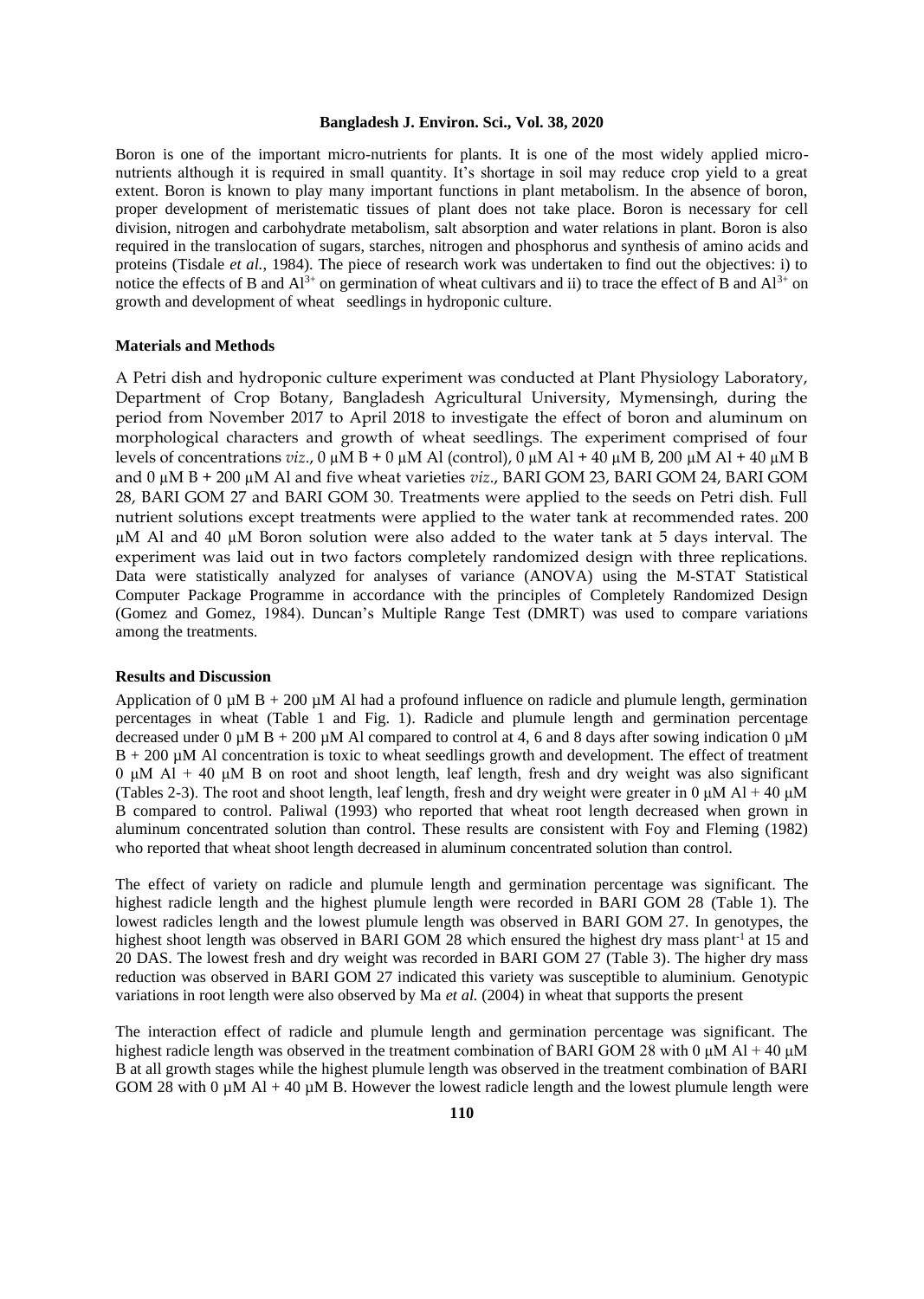#### **Bangladesh J. Environ. Sci., Vol. 38, 2020**

Boron is one of the important micro-nutrients for plants. It is one of the most widely applied micronutrients although it is required in small quantity. It's shortage in soil may reduce crop yield to a great extent. Boron is known to play many important functions in plant metabolism. In the absence of boron, proper development of meristematic tissues of plant does not take place. Boron is necessary for cell division, nitrogen and carbohydrate metabolism, salt absorption and water relations in plant. Boron is also required in the translocation of sugars, starches, nitrogen and phosphorus and synthesis of amino acids and proteins (Tisdale *et al.*, 1984). The piece of research work was undertaken to find out the objectives: i) to notice the effects of B and  $Al^{3+}$  on germination of wheat cultivars and ii) to trace the effect of B and  $Al^{3+}$  on growth and development of wheat seedlings in hydroponic culture.

#### **Materials and Methods**

A Petri dish and hydroponic culture experiment was conducted at Plant Physiology Laboratory, Department of Crop Botany, Bangladesh Agricultural University, Mymensingh, during the period from November 2017 to April 2018 to investigate the effect of boron and aluminum on morphological characters and growth of wheat seedlings. The experiment comprised of four levels of concentrations *viz*., 0 µM B + 0 µM Al (control), 0 µM Al + 40 µM B, 200 µM Al + 40 µM B and 0 µM B + 200 µM Al and five wheat varieties *viz*., BARI GOM 23, BARI GOM 24, BARI GOM 28, BARI GOM 27 and BARI GOM 30. Treatments were applied to the seeds on Petri dish. Full nutrient solutions except treatments were applied to the water tank at recommended rates. 200 µM Al and 40 µM Boron solution were also added to the water tank at 5 days interval. The experiment was laid out in two factors completely randomized design with three replications. Data were statistically analyzed for analyses of variance (ANOVA) using the M-STAT Statistical Computer Package Programme in accordance with the principles of Completely Randomized Design (Gomez and Gomez, 1984). Duncan's Multiple Range Test (DMRT) was used to compare variations among the treatments.

#### **Results and Discussion**

Application of  $0 \mu \text{M B} + 200 \mu \text{M Al}$  had a profound influence on radicle and plumule length, germination percentages in wheat (Table 1 and Fig. 1). Radicle and plumule length and germination percentage decreased under 0  $\mu$ M B + 200  $\mu$ M Al compared to control at 4, 6 and 8 days after sowing indication 0  $\mu$ M B + 200 µM Al concentration is toxic to wheat seedlings growth and development. The effect of treatment 0 μM Al + 40 μM B on root and shoot length, leaf length, fresh and dry weight was also significant (Tables 2-3). The root and shoot length, leaf length, fresh and dry weight were greater in 0  $\mu$ M Al + 40  $\mu$ M B compared to control. Paliwal (1993) who reported that wheat root length decreased when grown in aluminum concentrated solution than control. These results are consistent with Foy and Fleming (1982) who reported that wheat shoot length decreased in aluminum concentrated solution than control.

The effect of variety on radicle and plumule length and germination percentage was significant. The highest radicle length and the highest plumule length were recorded in BARI GOM 28 (Table 1). The lowest radicles length and the lowest plumule length was observed in BARI GOM 27. In genotypes, the highest shoot length was observed in BARI GOM 28 which ensured the highest dry mass plant<sup>-1</sup> at 15 and 20 DAS. The lowest fresh and dry weight was recorded in BARI GOM 27 (Table 3). The higher dry mass reduction was observed in BARI GOM 27 indicated this variety was susceptible to aluminium. Genotypic variations in root length were also observed by Ma *et al.* (2004) in wheat that supports the present

The interaction effect of radicle and plumule length and germination percentage was significant. The highest radicle length was observed in the treatment combination of BARI GOM 28 with 0  $\mu$ M Al + 40  $\mu$ M B at all growth stages while the highest plumule length was observed in the treatment combination of BARI GOM 28 with 0  $\mu$ M Al + 40  $\mu$ M B. However the lowest radicle length and the lowest plumule length were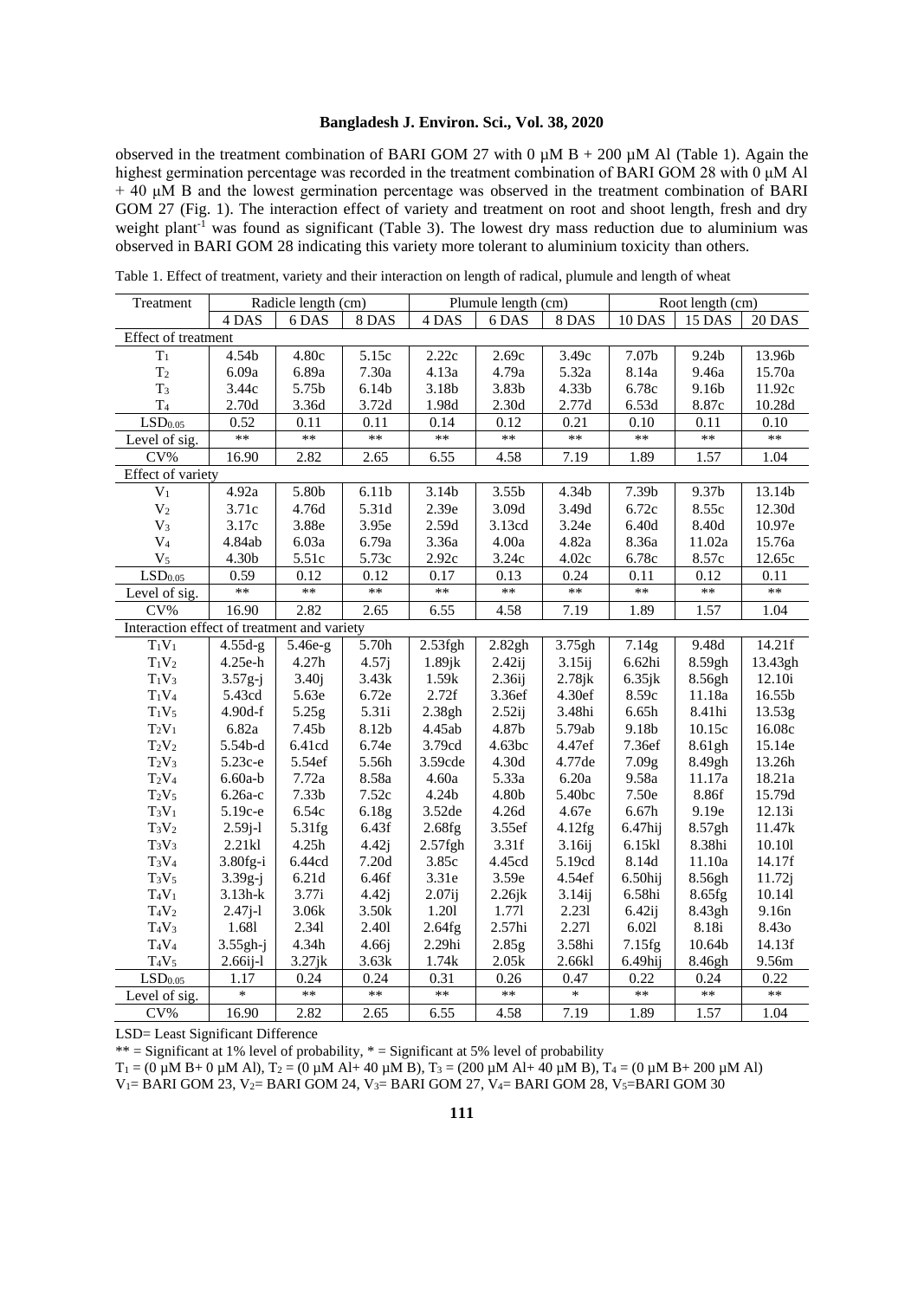## **Bangladesh J. Environ. Sci., Vol. 38, 2020**

observed in the treatment combination of BARI GOM 27 with 0  $\mu$ M B + 200  $\mu$ M Al (Table 1). Again the highest germination percentage was recorded in the treatment combination of BARI GOM 28 with 0 μM Al + 40 μM B and the lowest germination percentage was observed in the treatment combination of BARI GOM 27 (Fig. 1). The interaction effect of variety and treatment on root and shoot length, fresh and dry weight plant<sup>-1</sup> was found as significant (Table 3). The lowest dry mass reduction due to aluminium was observed in BARI GOM 28 indicating this variety more tolerant to aluminium toxicity than others.

| Treatment                                   |            | Radicle length (cm) |                   | Plumule length (cm) |                    | Root length (cm)   |                   |                   |               |
|---------------------------------------------|------------|---------------------|-------------------|---------------------|--------------------|--------------------|-------------------|-------------------|---------------|
|                                             | 4 DAS      | 6 DAS               | 8 DAS             | 4 DAS               | 6 DAS              | $8\, {\rm DAS}$    | 10 DAS            | 15 DAS            | <b>20 DAS</b> |
| Effect of treatment                         |            |                     |                   |                     |                    |                    |                   |                   |               |
| T <sub>1</sub>                              | 4.54b      | 4.80c               | 5.15c             | 2.22c               | 2.69c              | 3.49c              | 7.07b             | 9.24b             | 13.96b        |
| T <sub>2</sub>                              | 6.09a      | 6.89a               | 7.30a             | 4.13a               | 4.79a              | 5.32a              | 8.14a             | 9.46a             | 15.70a        |
| T <sub>3</sub>                              | 3.44c      | 5.75b               | 6.14 <sub>b</sub> | 3.18b               | 3.83b              | 4.33b              | 6.78c             | 9.16b             | 11.92c        |
| T <sub>4</sub>                              | 2.70d      | 3.36d               | 3.72d             | 1.98d               | 2.30d              | 2.77d              | 6.53d             | 8.87c             | 10.28d        |
| $\overline{\text{LSD}}_{0.05}$              | 0.52       | 0.11                | 0.11              | 0.14                | 0.12               | 0.21               | 0.10              | 0.11              | 0.10          |
| Level of sig.                               | $\ast\ast$ | $\ast\ast$          | **                | $**$                | **                 | **                 | $\ast\ast$        | $\ast\ast$        | $***$         |
| $CV\%$                                      | 16.90      | 2.82                | 2.65              | 6.55                | 4.58               | 7.19               | 1.89              | 1.57              | 1.04          |
| Effect of variety                           |            |                     |                   |                     |                    |                    |                   |                   |               |
| $V_1$                                       | 4.92a      | 5.80b               | 6.11b             | 3.14b               | 3.55b              | 4.34b              | 7.39b             | 9.37b             | 13.14b        |
| $\rm V_2$                                   | 3.71c      | 4.76d               | 5.31d             | 2.39e               | 3.09d              | 3.49d              | 6.72c             | 8.55c             | 12.30d        |
| $V_3$                                       | 3.17c      | 3.88e               | 3.95e             | 2.59d               | 3.13cd             | 3.24e              | 6.40d             | 8.40d             | 10.97e        |
| $\rm V_4$                                   | 4.84ab     | 6.03a               | 6.79a             | 3.36a               | 4.00a              | 4.82a              | 8.36a             | 11.02a            | 15.76a        |
| V <sub>5</sub>                              | 4.30b      | 5.51c               | 5.73c             | 2.92c               | 3.24c              | 4.02c              | 6.78c             | 8.57c             | 12.65c        |
| $\overline{LSD_{0.05}}$                     | 0.59       | 0.12                | 0.12              | 0.17                | 0.13               | 0.24               | 0.11              | 0.12              | 0.11          |
| Level of sig.                               | $***$      | $***$               | **                | **                  | **                 | **                 | **                | **                | $***$         |
| $CV\%$                                      | 16.90      | 2.82                | 2.65              | 6.55                | 4.58               | 7.19               | 1.89              | 1.57              | 1.04          |
| Interaction effect of treatment and variety |            |                     |                   |                     |                    |                    |                   |                   |               |
| $T_1V_1$                                    | $4.55d-g$  | 5.46e-g             | 5.70h             | $2.53$ fgh          | 2.82gh             | 3.75gh             | 7.14g             | 9.48d             | 14.21f        |
| $T_1V_2$                                    | 4.25e-h    | 4.27h               | 4.57j             | $1.89$ j $k$        | $2.42$ ij          | $3.15$ ij          | 6.62hi            | 8.59gh            | 13.43gh       |
| $T_1V_3$                                    | $3.57g-j$  | 3.40j               | 3.43k             | 1.59k               | 2.36 <sub>ij</sub> | $2.78$ j $k$       | $6.35$ jk         | 8.56gh            | 12.10i        |
| $T_1V_4$                                    | 5.43cd     | 5.63e               | 6.72e             | 2.72f               | 3.36ef             | 4.30ef             | 8.59c             | 11.18a            | 16.55b        |
| $T_1V_5$                                    | 4.90d-f    | 5.25g               | 5.31i             | 2.38gh              | $2.52$ ij          | 3.48hi             | 6.65h             | 8.41hi            | 13.53g        |
| $T_2V_1$                                    | 6.82a      | 7.45b               | 8.12b             | 4.45ab              | 4.87b              | 5.79ab             | 9.18b             | 10.15c            | 16.08c        |
| $T_2V_2$                                    | 5.54b-d    | 6.41cd              | 6.74e             | 3.79cd              | 4.63bc             | 4.47ef             | 7.36ef            | 8.61gh            | 15.14e        |
| $T_2V_3$                                    | 5.23с-е    | 5.54ef              | 5.56h             | 3.59cde             | 4.30d              | 4.77de             | 7.09 <sub>g</sub> | 8.49gh            | 13.26h        |
| $T_2V_4$                                    | $6.60a-b$  | 7.72a               | 8.58a             | 4.60a               | 5.33a              | 6.20a              | 9.58a             | $11.17\mathrm{a}$ | 18.21a        |
| $T_2V_5$                                    | $6.26a-c$  | 7.33 <sub>b</sub>   | 7.52c             | 4.24b               | 4.80b              | 5.40bc             | 7.50e             | 8.86f             | 15.79d        |
| $T_3V_1$                                    | 5.19с-е    | 6.54c               | 6.18g             | 3.52de              | 4.26d              | 4.67e              | 6.67h             | 9.19e             | 12.13i        |
| $T_3V_2$                                    | $2.59j-1$  | 5.31fg              | 6.43f             | 2.68fg              | 3.55ef             | 4.12fg             | $6.47$ hij        | 8.57gh            | 11.47k        |
| $T_3V_3$                                    | 2.21kl     | 4.25h               | 4.42j             | $2.57$ fgh          | 3.31f              | 3.16 <sub>ij</sub> | 6.15kl            | 8.38hi            | 10.101        |
| $T_3V_4$                                    | $3.80fg-i$ | 6.44cd              | 7.20d             | 3.85c               | 4.45cd             | 5.19cd             | 8.14d             | 11.10a            | 14.17f        |
| $T_3V_5$                                    | $3.39g-j$  | 6.21d               | 6.46f             | 3.31e               | 3.59e              | 4.54ef             | $6.50$ hij        | 8.56gh            | 11.72j        |
| $T_4V_1$                                    | $3.13h-k$  | 3.77i               | 4.42j             | $2.07$ ij           | $2.26$ jk          | 3.14 <sub>ij</sub> | 6.58hi            | 8.65fg            | 10.141        |
| $T_4V_2$                                    | $2.47j-1$  | 3.06k               | 3.50k             | 1.201               | 1.771              | 2.231              | $6.42$ ij         | 8.43gh            | 9.16n         |
| $T_4V_3$                                    | 1.681      | 2.341               | 2.401             | 2.64fg              | 2.57hi             | 2.271              | 6.021             | 8.18i             | 8.430         |
| $T_4V_4$                                    | $3.55gh-j$ | 4.34h               | 4.66j             | 2.29hi              | 2.85g              | 3.58hi             | 7.15fg            | 10.64b            | 14.13f        |
| $T_4V_5$                                    | $2.66i-1$  | $3.27$ jk           | 3.63k             | 1.74k               | 2.05k              | 2.66kl             | 6.49hij           | 8.46gh            | 9.56m         |
| $\mathrm{LSD}_{0.05}$                       | 1.17       | 0.24                | 0.24              | 0.31                | 0.26               | 0.47               | 0.22              | 0.24              | 0.22          |
| Level of sig.                               | $\ast$     | $\ast\ast$          | $**$              | $**$                | **                 | $\ast$             | $\ast\ast$        | $**$              | $**$          |
| $CV\%$                                      | 16.90      | 2.82                | 2.65              | 6.55                | 4.58               | 7.19               | 1.89              | 1.57              | 1.04          |

Table 1. Effect of treatment, variety and their interaction on length of radical, plumule and length of wheat

LSD= Least Significant Difference

\*\* = Significant at 1% level of probability,  $*$  = Significant at 5% level of probability

 $T_1 = (0 \mu M B + 0 \mu M A)$ ,  $T_2 = (0 \mu M A + 40 \mu M B)$ ,  $T_3 = (200 \mu M A + 40 \mu M B)$ ,  $T_4 = (0 \mu M B + 200 \mu M A)$ 

V<sub>1</sub> = BARI GOM 23, V<sub>2</sub> = BARI GOM 24, V<sub>3</sub> = BARI GOM 27, V<sub>4</sub> = BARI GOM 28, V<sub>5</sub> = BARI GOM 30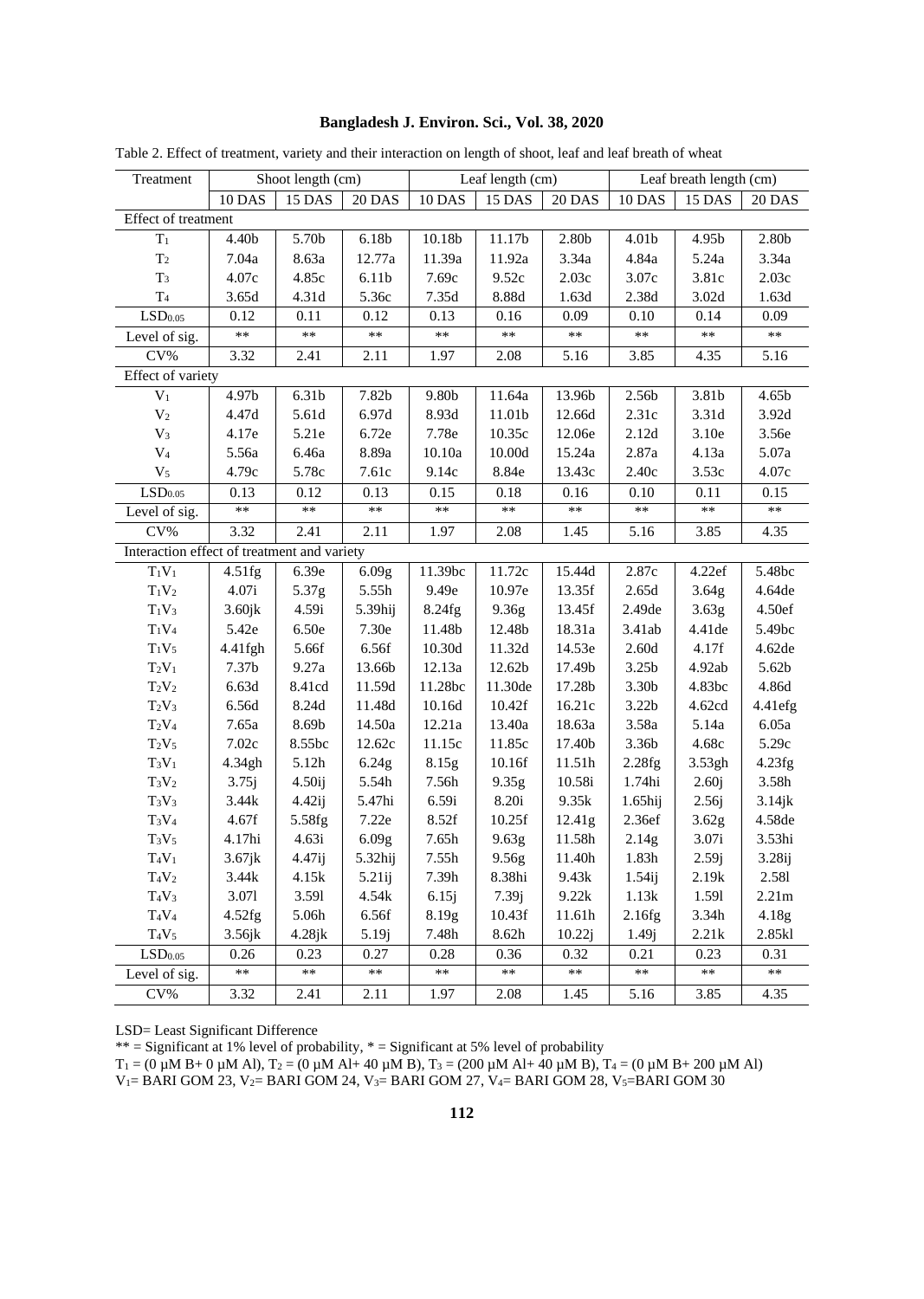|  | Bangladesh J. Environ. Sci., Vol. 38, 2020 |  |  |  |  |  |  |
|--|--------------------------------------------|--|--|--|--|--|--|
|--|--------------------------------------------|--|--|--|--|--|--|

| Treatment                                   | Shoot length (cm) |              | Leaf length (cm)  |                    |                    | Leaf breath length (cm) |                   |                   |                    |
|---------------------------------------------|-------------------|--------------|-------------------|--------------------|--------------------|-------------------------|-------------------|-------------------|--------------------|
|                                             | 10 DAS            | 15 DAS       | 20 DAS            | 10 DAS             | 15 DAS             | 20 DAS                  | 10 DAS            | 15 DAS            | <b>20 DAS</b>      |
| Effect of treatment                         |                   |              |                   |                    |                    |                         |                   |                   |                    |
| $T_1$                                       | 4.40b             | 5.70b        | 6.18 <sub>b</sub> | 10.18 <sub>b</sub> | 11.17 <sub>b</sub> | 2.80 <sub>b</sub>       | 4.01 <sub>b</sub> | 4.95b             | 2.80 <sub>b</sub>  |
| $\rm T_2$                                   | 7.04a             | 8.63a        | 12.77a            | 11.39a             | 11.92a             | 3.34a                   | 4.84a             | 5.24a             | 3.34a              |
| $T_3$                                       | 4.07c             | 4.85c        | 6.11 <sub>b</sub> | 7.69c              | 9.52c              | 2.03c                   | 3.07c             | 3.81c             | 2.03c              |
| T <sub>4</sub>                              | 3.65d             | 4.31d        | 5.36c             | 7.35d              | 8.88d              | 1.63d                   | 2.38d             | 3.02 <sub>d</sub> | 1.63d              |
| $\mathrm{LSD}_{0.05}$                       | 0.12              | 0.11         | 0.12              | 0.13               | 0.16               | 0.09                    | 0.10              | 0.14              | 0.09               |
| Level of sig.                               | $**$              | $**$         | $**$              | $**$               | $**$               | $**$                    | $**$              | $**$              | $**$               |
| $CV\%$                                      | 3.32              | 2.41         | 2.11              | 1.97               | 2.08               | 5.16                    | 3.85              | 4.35              | 5.16               |
| Effect of variety                           |                   |              |                   |                    |                    |                         |                   |                   |                    |
| $\overline{V_1}$                            | 4.97b             | 6.31b        | 7.82b             | 9.80b              | 11.64a             | 13.96b                  | 2.56b             | 3.81b             | 4.65b              |
| $\mathbf{V}_2$                              | 4.47d             | 5.61d        | 6.97d             | 8.93d              | 11.01b             | 12.66d                  | 2.31c             | 3.31d             | 3.92d              |
| $\rm V_3$                                   | 4.17e             | 5.21e        | 6.72e             | 7.78e              | 10.35c             | 12.06e                  | $2.12d$           | 3.10e             | 3.56e              |
| $\mathrm{V}_4$                              | 5.56a             | 6.46a        | 8.89a             | 10.10a             | 10.00d             | 15.24a                  | 2.87a             | 4.13a             | 5.07a              |
| $V_5$                                       | 4.79c             | 5.78c        | 7.61c             | 9.14c              | 8.84e              | 13.43c                  | 2.40c             | 3.53c             | 4.07c              |
| LSD <sub>0.05</sub>                         | 0.13              | 0.12         | 0.13              | 0.15               | 0.18               | 0.16                    | 0.10              | 0.11              | 0.15               |
| Level of sig.                               | $**$              | $**$         | $**$              | $**$               | $**$               | $**$                    | $**$              | $**$              | $**$               |
| CV%                                         | 3.32              | 2.41         | 2.11              | 1.97               | 2.08               | 1.45                    | 5.16              | 3.85              | 4.35               |
| Interaction effect of treatment and variety |                   |              |                   |                    |                    |                         |                   |                   |                    |
| $T_1V_1$                                    | 4.51fg            | 6.39e        | 6.09g             | 11.39bc            | 11.72c             | 15.44d                  | 2.87c             | 4.22ef            | 5.48bc             |
| $T_1V_2$                                    | 4.07i             | 5.37g        | 5.55h             | 9.49e              | 10.97e             | 13.35f                  | 2.65d             | 3.64 <sub>g</sub> | 4.64de             |
| $T_1V_3$                                    | $3.60$ j $k$      | 4.59i        | 5.39hij           | 8.24fg             | 9.36g              | 13.45f                  | 2.49de            | 3.63 <sub>g</sub> | 4.50ef             |
| $T_1V_4$                                    | 5.42e             | 6.50e        | 7.30e             | 11.48b             | 12.48b             | 18.31a                  | 3.41ab            | 4.41 de           | 5.49bc             |
| $T_1V_5$                                    | 4.41fgh           | 5.66f        | 6.56f             | 10.30d             | 11.32d             | 14.53e                  | 2.60d             | 4.17f             | 4.62de             |
| $T_2V_1$                                    | 7.37b             | 9.27a        | 13.66b            | 12.13a             | 12.62b             | 17.49b                  | 3.25 <sub>b</sub> | 4.92ab            | 5.62b              |
| $T_2V_2$                                    | 6.63d             | 8.41cd       | 11.59d            | 11.28bc            | 11.30de            | 17.28b                  | 3.30b             | 4.83bc            | 4.86d              |
| $T_2V_3$                                    | $6.56d$           | 8.24d        | 11.48d            | 10.16d             | 10.42f             | 16.21c                  | 3.22 <sub>b</sub> | 4.62cd            | 4.41efg            |
| $T_2V_4$                                    | 7.65a             | 8.69b        | 14.50a            | 12.21a             | 13.40a             | 18.63a                  | 3.58a             | 5.14a             | 6.05a              |
| $T_2V_5$                                    | 7.02c             | 8.55bc       | 12.62c            | 11.15c             | 11.85c             | 17.40b                  | 3.36b             | 4.68c             | 5.29c              |
| $T_3V_1$                                    | 4.34gh            | 5.12h        | 6.24g             | 8.15g              | 10.16f             | 11.51h                  | 2.28fg            | 3.53gh            | 4.23fg             |
| $T_3V_2$                                    | 3.75j             | 4.50ij       | 5.54h             | $7.56h$            | 9.35g              | 10.58i                  | 1.74hi            | 2.60j             | 3.58h              |
| $T_3V_3$                                    | 3.44k             | $4.42$ ij    | 5.47hi            | 6.59i              | 8.20i              | 9.35k                   | $1.65$ hij        | 2.56j             | 3.14jk             |
| $T_3V_4$                                    | 4.67f             | 5.58fg       | 7.22e             | 8.52f              | 10.25f             | 12.41g                  | 2.36ef            | 3.62g             | 4.58de             |
| $T_3V_5$                                    | 4.17hi            | 4.63i        | 6.09g             | $7.65\mathrm{h}$   | 9.63g              | 11.58h                  | 2.14g             | 3.07i             | 3.53hi             |
| $T_4V_1$                                    | $3.67$ jk         | 4.47ij       | 5.32hij           | 7.55h              | 9.56g              | 11.40h                  | $1.83\mathrm{h}$  | 2.59j             | 3.28 <sub>ij</sub> |
| $T_4V_2$                                    | 3.44k             | 4.15k        | $5.21$ ij         | 7.39h              | 8.38hi             | 9.43k                   | $1.54$ ij         | 2.19k             | 2.581              |
| $T_4V_3$                                    | 3.071             | 3.591        | 4.54k             | 6.15j              | 7.39j              | 9.22k                   | 1.13k             | 1.591             | 2.21m              |
| $T_4V_4$                                    | 4.52fg            | 5.06h        | 6.56f             | 8.19g              | 10.43f             | 11.61h                  | 2.16fg            | 3.34h             | 4.18g              |
| $T_4V_5$                                    | $3.56$ jk         | $4.28$ j $k$ | 5.19j             | 7.48h              | 8.62h              | 10.22j                  | 1.49j             | 2.21k             | 2.85kl             |
| LSD <sub>0.05</sub>                         | 0.26              | 0.23         | 0.27              | 0.28               | 0.36               | 0.32                    | 0.21              | 0.23              | 0.31               |
| Level of sig.                               | $**$              | $**$         | **                | $**$               | $**$               | $**$                    | **                | $\ast\ast$        | $**$               |
| CV%                                         | 3.32              | 2.41         | 2.11              | 1.97               | 2.08               | 1.45                    | 5.16              | 3.85              | 4.35               |

Table 2. Effect of treatment, variety and their interaction on length of shoot, leaf and leaf breath of wheat

LSD= Least Significant Difference

\*\* = Significant at 1% level of probability,  $*$  = Significant at 5% level of probability

 $T_1 = (0 \,\mu\text{M B} + 0 \,\mu\text{M A}l)$ ,  $T_2 = (0 \,\mu\text{M A}l + 40 \,\mu\text{M B})$ ,  $T_3 = (200 \,\mu\text{M A}l + 40 \,\mu\text{M B})$ ,  $T_4 = (0 \,\mu\text{M B} + 200 \,\mu\text{M A}l)$ 

V1= BARI GOM 23, V2= BARI GOM 24, V3= BARI GOM 27, V4= BARI GOM 28, V5=BARI GOM 30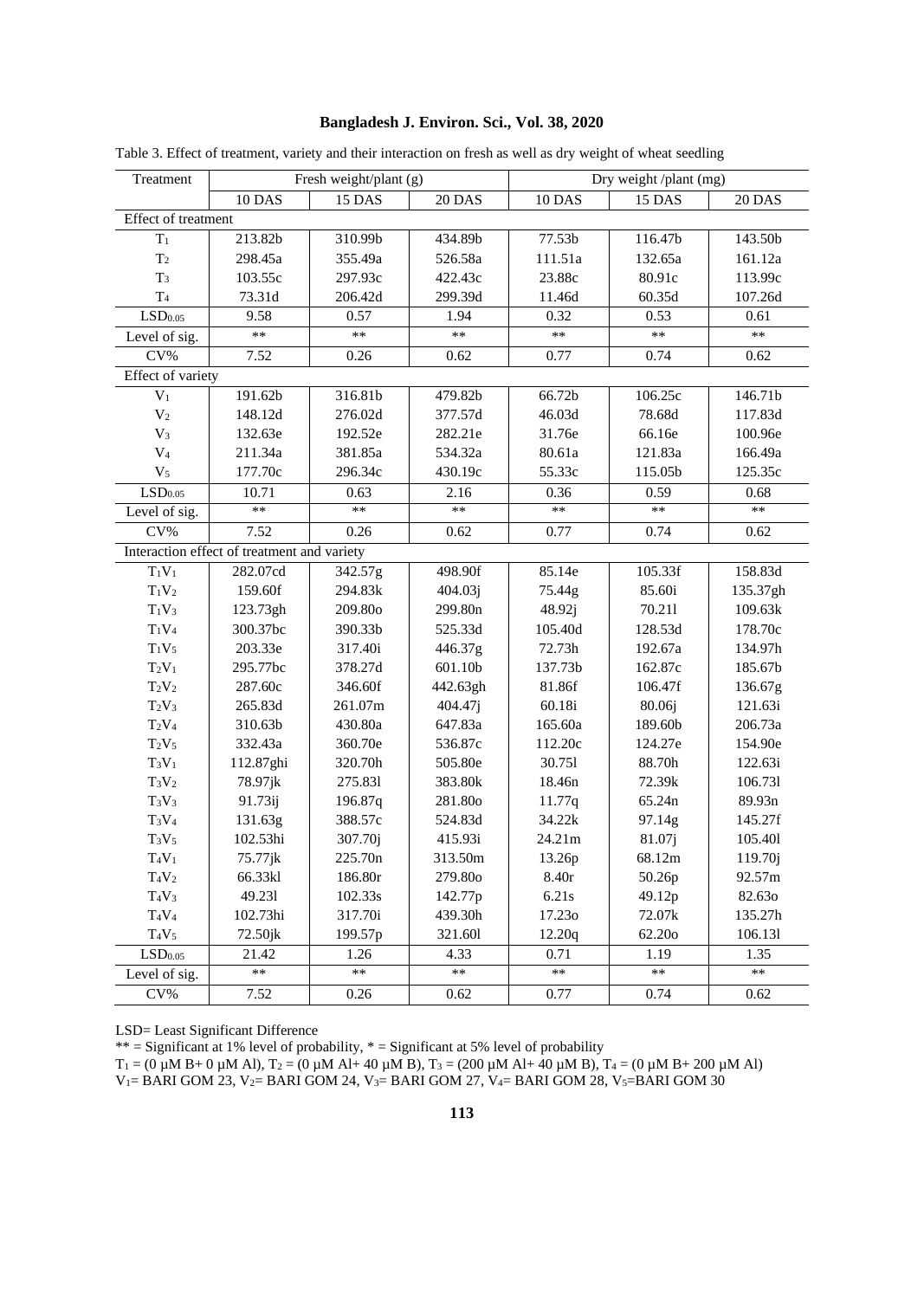## Bangladesh J. Environ. Sci., Vol. 38, 2020

| Treatment             |                                             | Fresh weight/plant (g) |          |         | Dry weight/plant (mg) |          |  |  |  |
|-----------------------|---------------------------------------------|------------------------|----------|---------|-----------------------|----------|--|--|--|
|                       | 10 DAS                                      | 15 DAS                 | 20 DAS   | 10 DAS  | 15 DAS                | 20 DAS   |  |  |  |
| Effect of treatment   |                                             |                        |          |         |                       |          |  |  |  |
| $T_1$                 | 213.82b                                     | 310.99b                | 434.89b  | 77.53b  | 116.47b               | 143.50b  |  |  |  |
| T <sub>2</sub>        | 298.45a                                     | 355.49a                | 526.58a  | 111.51a | 132.65a               | 161.12a  |  |  |  |
| $T_3$                 | 103.55c                                     | 297.93c                | 422.43c  | 23.88c  | 80.91c                | 113.99c  |  |  |  |
| T <sub>4</sub>        | 73.31d                                      | 206.42d                | 299.39d  | 11.46d  | 60.35d                | 107.26d  |  |  |  |
| $\mathrm{LSD}_{0.05}$ | 9.58                                        | 0.57                   | 1.94     | 0.32    | 0.53                  | 0.61     |  |  |  |
| Level of sig.         | **                                          | $**$                   | $**$     | $***$   | $**$                  | $**$     |  |  |  |
| CV%                   | 7.52                                        | 0.26                   | 0.62     | 0.77    | 0.74                  | 0.62     |  |  |  |
| Effect of variety     |                                             |                        |          |         |                       |          |  |  |  |
| $V_1$                 | 191.62b                                     | 316.81b                | 479.82b  | 66.72b  | 106.25c               | 146.71b  |  |  |  |
| V <sub>2</sub>        | 148.12d                                     | 276.02d                | 377.57d  | 46.03d  | 78.68d                | 117.83d  |  |  |  |
| $V_3$                 | 132.63e                                     | 192.52e                | 282.21e  | 31.76e  | 66.16e                | 100.96e  |  |  |  |
| $V_4$                 | 211.34a                                     | 381.85a                | 534.32a  | 80.61a  | 121.83a               | 166.49a  |  |  |  |
| $V_5$                 | 177.70c                                     | 296.34c                | 430.19c  | 55.33c  | 115.05b               | 125.35c  |  |  |  |
| LSD <sub>0.05</sub>   | 10.71                                       | 0.63                   | 2.16     | 0.36    | 0.59                  | 0.68     |  |  |  |
| Level of sig.         | $**$                                        | $**$                   | $**$     | $**$    | $**$                  | $**$     |  |  |  |
| CV%                   | 7.52                                        | 0.26                   | 0.62     | 0.77    | 0.74                  | 0.62     |  |  |  |
|                       | Interaction effect of treatment and variety |                        |          |         |                       |          |  |  |  |
| $T_1V_1$              | 282.07cd                                    | 342.57g                | 498.90f  | 85.14e  | 105.33f               | 158.83d  |  |  |  |
| $T_1V_2$              | 159.60f                                     | 294.83k                | 404.03j  | 75.44g  | 85.60i                | 135.37gh |  |  |  |
| $T_1V_3$              | 123.73gh                                    | 209.80o                | 299.80n  | 48.92j  | 70.211                | 109.63k  |  |  |  |
| $T_1V_4$              | 300.37bc                                    | 390.33b                | 525.33d  | 105.40d | 128.53d               | 178.70c  |  |  |  |
| $T_1V_5$              | 203.33e                                     | 317.40i                | 446.37g  | 72.73h  | 192.67a               | 134.97h  |  |  |  |
| $T_2V_1$              | 295.77bc                                    | 378.27d                | 601.10b  | 137.73b | 162.87c               | 185.67b  |  |  |  |
| $T_2V_2$              | 287.60c                                     | 346.60f                | 442.63gh | 81.86f  | 106.47f               | 136.67g  |  |  |  |
| $T_2V_3$              | 265.83d                                     | 261.07m                | 404.47j  | 60.18i  | 80.06j                | 121.63i  |  |  |  |
| $T_2V_4$              | 310.63b                                     | 430.80a                | 647.83a  | 165.60a | 189.60b               | 206.73a  |  |  |  |
| $T_2V_5$              | 332.43a                                     | 360.70e                | 536.87c  | 112.20c | 124.27e               | 154.90e  |  |  |  |
| $T_3V_1$              | 112.87ghi                                   | 320.70h                | 505.80e  | 30.751  | 88.70h                | 122.63i  |  |  |  |
| $T_3V_2$              | 78.97jk                                     | 275.831                | 383.80k  | 18.46n  | 72.39k                | 106.731  |  |  |  |
| $T_3V_3$              | 91.73ij                                     | 196.87q                | 281.80o  | 11.77q  | 65.24n                | 89.93n   |  |  |  |
| $T_3V_4$              | 131.63g                                     | 388.57c                | 524.83d  | 34.22k  | 97.14g                | 145.27f  |  |  |  |
| $T_3V_5$              | 102.53hi                                    | 307.70j                | 415.93i  | 24.21m  | 81.07j                | 105.401  |  |  |  |
| $T_4V_1$              | 75.77jk                                     | 225.70n                | 313.50m  | 13.26p  | 68.12m                | 119.70j  |  |  |  |
| $T_4V_2$              | 66.33kl                                     | 186.80r                | 279.80o  | 8.40r   | 50.26p                | 92.57m   |  |  |  |
| $T_4V_3$              | 49.231                                      | 102.33s                | 142.77p  | 6.21s   | 49.12p                | 82.630   |  |  |  |
| $T_4V_4$              | 102.73hi                                    | 317.70i                | 439.30h  | 17.230  | 72.07k                | 135.27h  |  |  |  |
| $T_4V_5$              | $72.50$ jk                                  | 199.57p                | 321.601  | 12.20q  | 62.20o                | 106.131  |  |  |  |
| LSD <sub>0.05</sub>   | 21.42                                       | 1.26                   | 4.33     | 0.71    | 1.19                  | 1.35     |  |  |  |
| Level of sig.         | $**$                                        | $**$                   | $**$     | $**$    | $**$                  | $**$     |  |  |  |
| CV%                   | 7.52                                        | 0.26                   | 0.62     | 0.77    | 0.74                  | 0.62     |  |  |  |

Table 3. Effect of treatment, variety and their interaction on fresh as well as dry weight of wheat seedling

LSD= Least Significant Difference

 $*^*$  = Significant at 1% level of probability,  $*$  = Significant at 5% level of probability<br>  $T_1 = (0 \mu M B + 0 \mu M A)$ ,  $T_2 = (0 \mu M A + 40 \mu M B)$ ,  $T_3 = (200 \mu M A + 40 \mu M B)$ ,  $T_4 = (0 \mu M B + 200 \mu M A)$ <br>  $V_1 = BARI GOM 23$ ,  $V_2 = BARI GOM 24$ ,  $V$